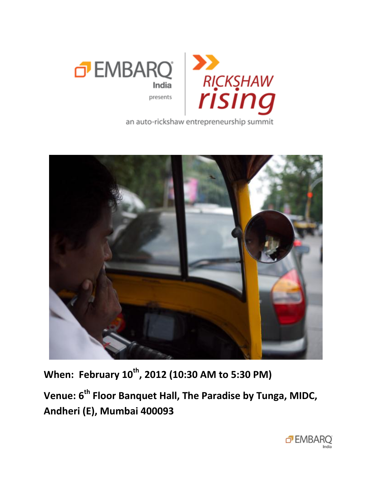

an auto-rickshaw entrepreneurship summit



**When: February 10th, 2012 (10:30 AM to 5:30 PM)**

**Venue: 6th Floor Banquet Hall, The Paradise by Tunga, MIDC, Andheri (E), Mumbai 400093**

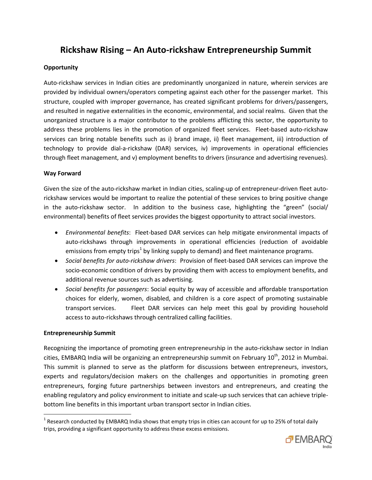# **Rickshaw Rising – An Auto-rickshaw Entrepreneurship Summit**

### **Opportunity**

Auto-rickshaw services in Indian cities are predominantly unorganized in nature, wherein services are provided by individual owners/operators competing against each other for the passenger market. This structure, coupled with improper governance, has created significant problems for drivers/passengers, and resulted in negative externalities in the economic, environmental, and social realms. Given that the unorganized structure is a major contributor to the problems afflicting this sector, the opportunity to address these problems lies in the promotion of organized fleet services. Fleet-based auto-rickshaw services can bring notable benefits such as i) brand image, ii) fleet management, iii) introduction of technology to provide dial-a-rickshaw (DAR) services, iv) improvements in operational efficiencies through fleet management, and v) employment benefits to drivers (insurance and advertising revenues).

#### **Way Forward**

Given the size of the auto-rickshaw market in Indian cities, scaling-up of entrepreneur-driven fleet autorickshaw services would be important to realize the potential of these services to bring positive change in the auto-rickshaw sector. In addition to the business case, highlighting the "green" (social/ environmental) benefits of fleet services provides the biggest opportunity to attract social investors.

- *Environmental benefits*: Fleet-based DAR services can help mitigate environmental impacts of auto-rickshaws through improvements in operational efficiencies (reduction of avoidable emissions from empty trips<sup>1</sup> by linking supply to demand) and fleet maintenance programs.
- *Social benefits for auto-rickshaw drivers*: Provision of fleet-based DAR services can improve the socio-economic condition of drivers by providing them with access to employment benefits, and additional revenue sources such as advertising.
- *Social benefits for passengers*: Social equity by way of accessible and affordable transportation choices for elderly, women, disabled, and children is a core aspect of promoting sustainable transport services. Fleet DAR services can help meet this goal by providing household access to auto-rickshaws through centralized calling facilities.

#### **Entrepreneurship Summit**

 $\overline{\phantom{a}}$ 

Recognizing the importance of promoting green entrepreneurship in the auto-rickshaw sector in Indian cities, EMBARQ India will be organizing an entrepreneurship summit on February 10<sup>th</sup>, 2012 in Mumbai. This summit is planned to serve as the platform for discussions between entrepreneurs, investors, experts and regulators/decision makers on the challenges and opportunities in promoting green entrepreneurs, forging future partnerships between investors and entrepreneurs, and creating the enabling regulatory and policy environment to initiate and scale-up such services that can achieve triplebottom line benefits in this important urban transport sector in Indian cities.

<sup>&</sup>lt;sup>1</sup> Research conducted by EMBARQ India shows that empty trips in cities can account for up to 25% of total daily trips, providing a significant opportunity to address these excess emissions.